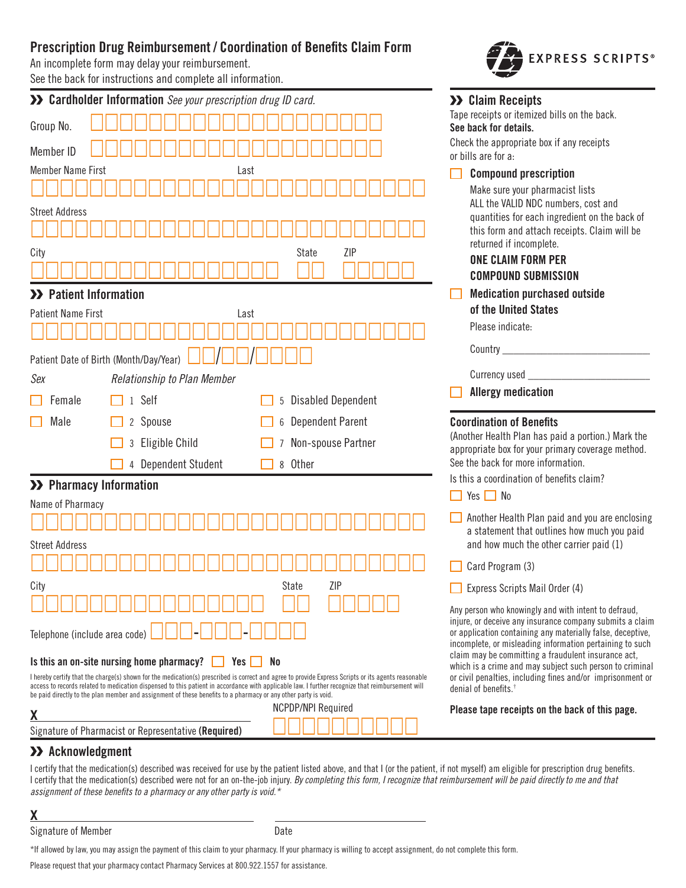# **Prescription Drug Reimbursement / Coordination of Benefits Claim Form**

An incomplete form may delay your reimbursement.

See the back for instructions and complete all information.

|                                                                                                                                                                                                                                                                                                                                           | >> Cardholder Information See your prescription drug ID card.                                                  |                                                                                                                                                  | >> Claim Receipts                                                                                                      |  |
|-------------------------------------------------------------------------------------------------------------------------------------------------------------------------------------------------------------------------------------------------------------------------------------------------------------------------------------------|----------------------------------------------------------------------------------------------------------------|--------------------------------------------------------------------------------------------------------------------------------------------------|------------------------------------------------------------------------------------------------------------------------|--|
| Group No.                                                                                                                                                                                                                                                                                                                                 |                                                                                                                |                                                                                                                                                  | Tape receipts or itemized bills on the back.<br>See back for details.                                                  |  |
|                                                                                                                                                                                                                                                                                                                                           |                                                                                                                |                                                                                                                                                  | Check the appropriate box if any receipts                                                                              |  |
| Member ID                                                                                                                                                                                                                                                                                                                                 |                                                                                                                |                                                                                                                                                  | or bills are for a:                                                                                                    |  |
| <b>Member Name First</b>                                                                                                                                                                                                                                                                                                                  | Last                                                                                                           |                                                                                                                                                  | <b>Compound prescription</b>                                                                                           |  |
|                                                                                                                                                                                                                                                                                                                                           |                                                                                                                | Make sure your pharmacist lists<br>ALL the VALID NDC numbers, cost and                                                                           |                                                                                                                        |  |
| <b>Street Address</b>                                                                                                                                                                                                                                                                                                                     |                                                                                                                |                                                                                                                                                  | quantities for each ingredient on the back of                                                                          |  |
|                                                                                                                                                                                                                                                                                                                                           |                                                                                                                |                                                                                                                                                  | this form and attach receipts. Claim will be<br>returned if incomplete.                                                |  |
| City                                                                                                                                                                                                                                                                                                                                      |                                                                                                                | ZIP<br>State                                                                                                                                     | <b>ONE CLAIM FORM PER</b>                                                                                              |  |
|                                                                                                                                                                                                                                                                                                                                           |                                                                                                                |                                                                                                                                                  | <b>COMPOUND SUBMISSION</b>                                                                                             |  |
| >> Patient Information                                                                                                                                                                                                                                                                                                                    |                                                                                                                | <b>Medication purchased outside</b>                                                                                                              |                                                                                                                        |  |
| <b>Patient Name First</b>                                                                                                                                                                                                                                                                                                                 | Last                                                                                                           |                                                                                                                                                  | of the United States                                                                                                   |  |
|                                                                                                                                                                                                                                                                                                                                           |                                                                                                                |                                                                                                                                                  | Please indicate:                                                                                                       |  |
|                                                                                                                                                                                                                                                                                                                                           | Patient Date of Birth (Month/Day/Year)                                                                         |                                                                                                                                                  | Country_                                                                                                               |  |
|                                                                                                                                                                                                                                                                                                                                           |                                                                                                                | Currency used _                                                                                                                                  |                                                                                                                        |  |
| Sex                                                                                                                                                                                                                                                                                                                                       | Relationship to Plan Member                                                                                    |                                                                                                                                                  | <b>Allergy medication</b>                                                                                              |  |
| Female                                                                                                                                                                                                                                                                                                                                    | 1 Self                                                                                                         | 5 Disabled Dependent                                                                                                                             |                                                                                                                        |  |
| Male                                                                                                                                                                                                                                                                                                                                      | 2 Spouse                                                                                                       | <b>Dependent Parent</b><br>6                                                                                                                     | <b>Coordination of Benefits</b>                                                                                        |  |
|                                                                                                                                                                                                                                                                                                                                           | Eligible Child<br>3                                                                                            | Non-spouse Partner                                                                                                                               | (Another Health Plan has paid a portion.) Mark the<br>appropriate box for your primary coverage method.                |  |
|                                                                                                                                                                                                                                                                                                                                           | 4 Dependent Student                                                                                            | 8 Other                                                                                                                                          | See the back for more information.                                                                                     |  |
| >> Pharmacy Information                                                                                                                                                                                                                                                                                                                   |                                                                                                                |                                                                                                                                                  | Is this a coordination of benefits claim?                                                                              |  |
| Name of Pharmacy                                                                                                                                                                                                                                                                                                                          |                                                                                                                |                                                                                                                                                  | $Yes \tN$                                                                                                              |  |
|                                                                                                                                                                                                                                                                                                                                           |                                                                                                                |                                                                                                                                                  | Another Health Plan paid and you are enclosing                                                                         |  |
| <b>Street Address</b>                                                                                                                                                                                                                                                                                                                     |                                                                                                                |                                                                                                                                                  | a statement that outlines how much you paid<br>and how much the other carrier paid (1)                                 |  |
|                                                                                                                                                                                                                                                                                                                                           |                                                                                                                |                                                                                                                                                  | Card Program (3)                                                                                                       |  |
| City                                                                                                                                                                                                                                                                                                                                      |                                                                                                                | ZIP<br>State                                                                                                                                     | Express Scripts Mail Order (4)                                                                                         |  |
|                                                                                                                                                                                                                                                                                                                                           |                                                                                                                |                                                                                                                                                  | Any person who knowingly and with intent to defraud,                                                                   |  |
| Telephone (include area code)                                                                                                                                                                                                                                                                                                             |                                                                                                                |                                                                                                                                                  | injure, or deceive any insurance company submits a claim<br>or application containing any materially false, deceptive, |  |
|                                                                                                                                                                                                                                                                                                                                           |                                                                                                                |                                                                                                                                                  | incomplete, or misleading information pertaining to such<br>claim may be committing a fraudulent insurance act,        |  |
| Is this an on-site nursing home pharmacy?<br>Yes  <br>No<br>which is a crime and may subject such person to criminal<br>or civil penalties, including fines and/or imprisonment or<br>I hereby certify that the charge(s) shown for the medication(s) prescribed is correct and agree to provide Express Scripts or its agents reasonable |                                                                                                                |                                                                                                                                                  |                                                                                                                        |  |
|                                                                                                                                                                                                                                                                                                                                           | be paid directly to the plan member and assignment of these benefits to a pharmacy or any other party is void. | access to records related to medication dispensed to this patient in accordance with applicable law. I further recognize that reimbursement will | denial of benefits. <sup>†</sup>                                                                                       |  |
| X                                                                                                                                                                                                                                                                                                                                         |                                                                                                                | <b>NCPDP/NPI Required</b>                                                                                                                        | Please tape receipts on the back of this page.                                                                         |  |
|                                                                                                                                                                                                                                                                                                                                           |                                                                                                                |                                                                                                                                                  |                                                                                                                        |  |

**EXPRESS SCRIPTS®** 

 **Acknowledgment** I certify that the medication(s) described was received for use by the patient listed above, and that I (or the patient, if not myself) am eligible for prescription drug benefits. I certify that the medication(s) described were not for an on-the-job injury. By completing this form, I recognize that reimbursement will be paid directly to me and that assignment of these benefits to a pharmacy or any other party is void.\*

**X**

Signature of Member Date

\*If allowed by law, you may assign the payment of this claim to your pharmacy. If your pharmacy is willing to accept assignment, do not complete this form.

Please request that your pharmacy contact Pharmacy Services at 800.922.1557 for assistance.

Signature of Pharmacist or Representative **(Required)**